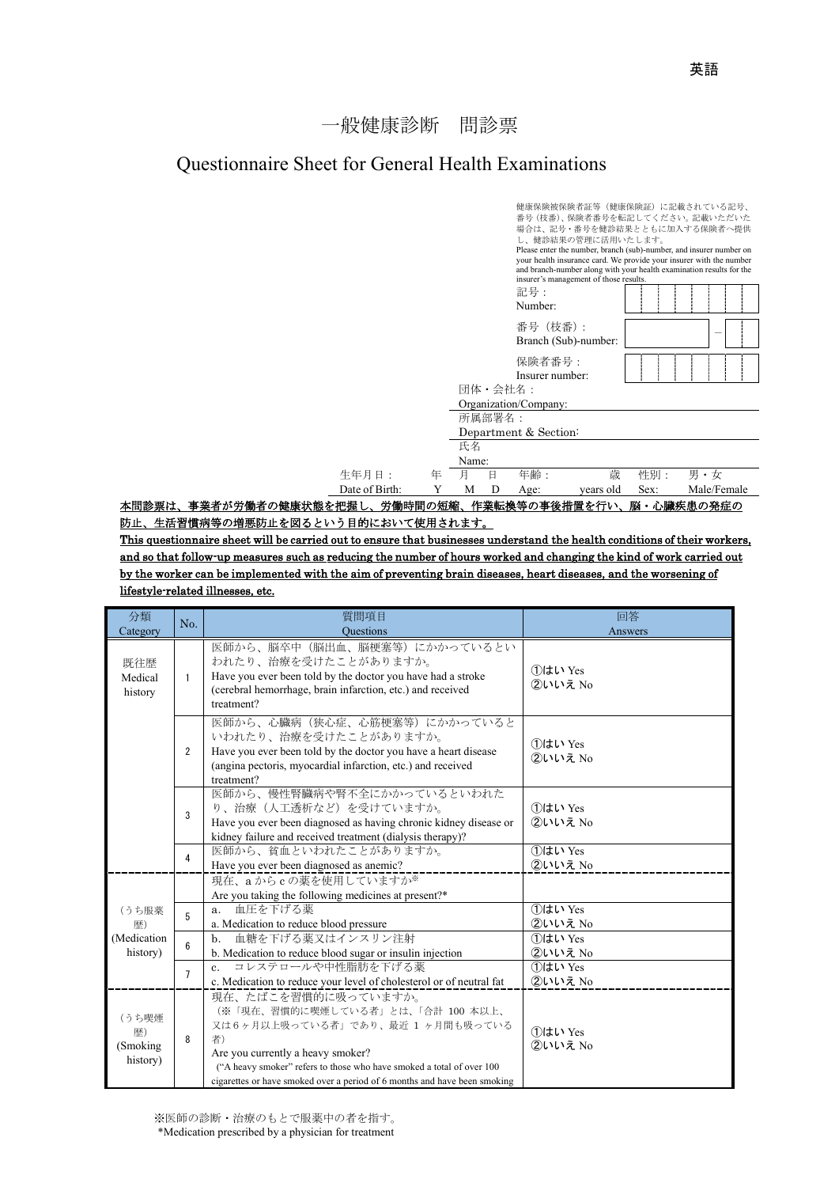## 一般健康診断 問診票

## Questionnaire Sheet for General Health Examinations



本問診票は、事業者が労働者の健康状態を把握し、労働時間の短縮、作業転換等の事後措置を行い、脳・心臓疾患の発症の 防止、生活習慣病等の増悪防止を図るという目的において使用されます。

This questionnaire sheet will be carried out to ensure that businesses understand the health conditions of their workers, and so that follow-up measures such as reducing the number of hours worked and changing the kind of work carried out by the worker can be implemented with the aim of preventing brain diseases, heart diseases, and the worsening of lifestyle-related illnesses, etc.

| 分類<br>Category                       | No.            | 質問項目<br><b>Questions</b>                                                                                                                                                                                                                                                                     | 回答<br>Answers         |
|--------------------------------------|----------------|----------------------------------------------------------------------------------------------------------------------------------------------------------------------------------------------------------------------------------------------------------------------------------------------|-----------------------|
| 既往歴<br>Medical<br>history            | $\mathbf{1}$   | 医師から、脳卒中(脳出血、脳梗塞等)にかかっているとい<br>われたり、治療を受けたことがありますか。<br>Have you ever been told by the doctor you have had a stroke<br>(cerebral hemorrhage, brain infarction, etc.) and received<br>treatment?                                                                                               | ①はい Yes<br>2いいえ No    |
|                                      | $\overline{2}$ | 医師から、心臓病(狭心症、心筋梗塞等)にかかっていると<br>いわれたり、治療を受けたことがありますか。<br>Have you ever been told by the doctor you have a heart disease<br>(angina pectoris, myocardial infarction, etc.) and received<br>treatment?                                                                                          | 1はい Yes<br>$2$ いいえ No |
|                                      | 3              | 医師から、慢性腎臓病や腎不全にかかっているといわれた<br>り、治療(人工诱析など)を受けていますか。<br>Have you ever been diagnosed as having chronic kidney disease or<br>kidney failure and received treatment (dialysis therapy)?                                                                                                         | 1はい Yes<br>$2$ いいえ No |
|                                      | $\overline{4}$ | 医師から、貧血といわれたことがありますか。<br>Have you ever been diagnosed as anemic?                                                                                                                                                                                                                             | 1はい Yes<br>2いいえ No    |
|                                      |                | 現在、aからcの薬を使用していますか※<br>Are you taking the following medicines at present?*                                                                                                                                                                                                                   |                       |
| (うち服薬<br>歴)                          | 5              | 血圧を下げる薬<br>a.<br>a. Medication to reduce blood pressure                                                                                                                                                                                                                                      | 1はい Yes<br>2いいえ No    |
| (Medication<br>history)              | 6              | 血糖を下げる薬又はインスリン注射<br>b.<br>b. Medication to reduce blood sugar or insulin injection                                                                                                                                                                                                           | 1はい Yes<br>②いいえ No    |
|                                      | $\overline{7}$ | コレステロールや中性脂肪を下げる薬<br>c. Medication to reduce your level of cholesterol or of neutral fat                                                                                                                                                                                                     | ①はい Yes<br>2いいえ No    |
| (うち喫煙<br>歴)<br>(Smoking)<br>history) | 8              | 現在、たばこを習慣的に吸っていますか。<br>(※「現在、習慣的に喫煙している者」とは、「合計 100 本以上、<br>又は6ヶ月以上吸っている者」であり、最近 1ヶ月間も吸っている<br>者)<br>Are you currently a heavy smoker?<br>("A heavy smoker" refers to those who have smoked a total of over 100<br>cigarettes or have smoked over a period of 6 months and have been smoking | ①はい Yes<br>2いいえ No    |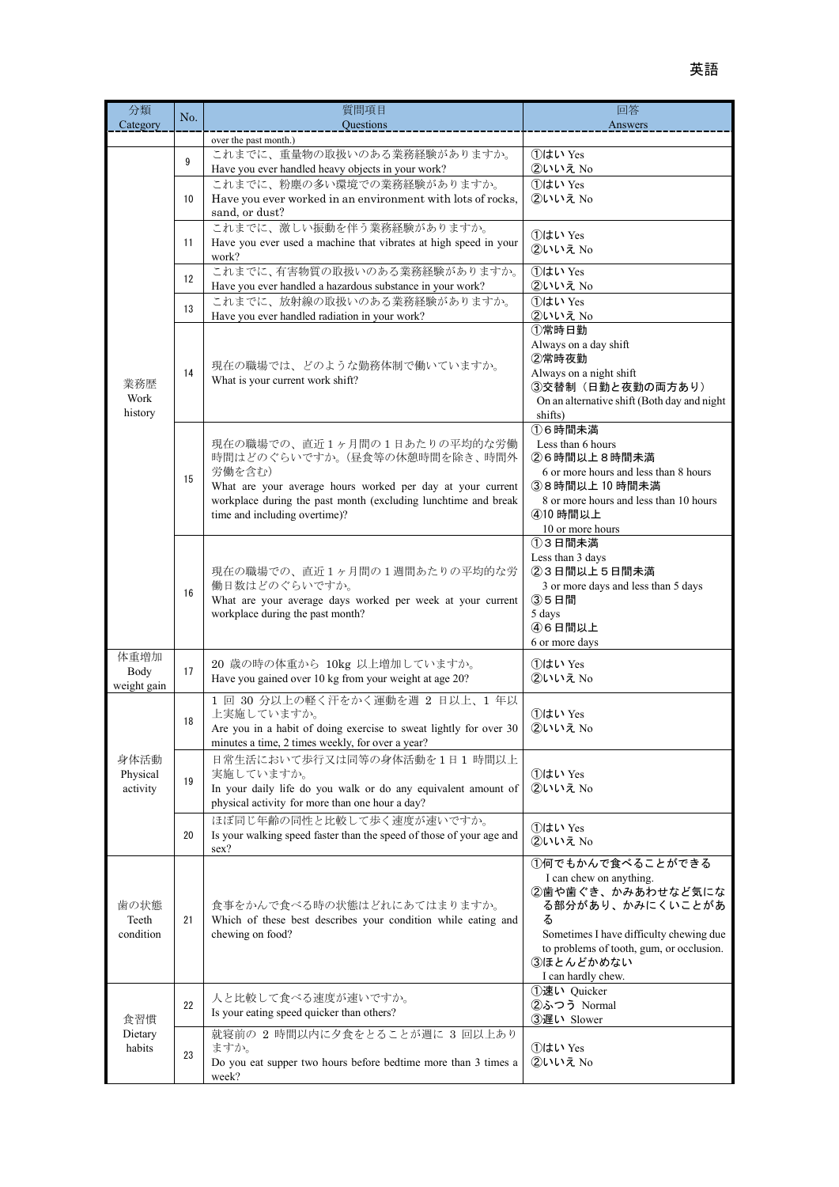| 分類<br>Category               | No.            | 質問項目<br>Questions                                                                                                                                                                                                                      | 回答<br>Answers                                                                                                                                                                                                       |
|------------------------------|----------------|----------------------------------------------------------------------------------------------------------------------------------------------------------------------------------------------------------------------------------------|---------------------------------------------------------------------------------------------------------------------------------------------------------------------------------------------------------------------|
| 業務歴<br>Work<br>history       | $\overline{9}$ | over the past month.)<br>これまでに、重量物の取扱いのある業務経験がありますか。<br>Have you ever handled heavy objects in your work?                                                                                                                              | 1はい Yes<br>②いいえ No                                                                                                                                                                                                  |
|                              | 10             | これまでに、粉塵の多い環境での業務経験がありますか。<br>Have you ever worked in an environment with lots of rocks,<br>sand, or dust?                                                                                                                             | 1はい Yes<br>2いいえ No                                                                                                                                                                                                  |
|                              | 11             | これまでに、激しい振動を伴う業務経験がありますか。<br>Have you ever used a machine that vibrates at high speed in your<br>work?                                                                                                                                 | ①はい Yes<br>2いいえ No                                                                                                                                                                                                  |
|                              | 12             | これまでに、有害物質の取扱いのある業務経験がありますか。<br>Have you ever handled a hazardous substance in your work?                                                                                                                                              | 1はい Yes<br>②いいえ No                                                                                                                                                                                                  |
|                              | 13             | これまでに、放射線の取扱いのある業務経験がありますか。<br>Have you ever handled radiation in your work?                                                                                                                                                           | 1はい Yes<br>2いいえ No                                                                                                                                                                                                  |
|                              | 14             | 現在の職場では、どのような勤務体制で働いていますか。<br>What is your current work shift?                                                                                                                                                                         | ①常時日勤<br>Always on a day shift<br>2常時夜勤<br>Always on a night shift<br>3交替制 (日勤と夜勤の両方あり)<br>On an alternative shift (Both day and night<br>shifts)                                                                   |
|                              | 15             | 現在の職場での、直近1ヶ月間の1日あたりの平均的な労働<br>時間はどのぐらいですか。(昼食等の休憩時間を除き、時間外<br>労働を含む)<br>What are your average hours worked per day at your current<br>workplace during the past month (excluding lunchtime and break<br>time and including overtime)? | 16時間未満<br>Less than 6 hours<br>26時間以上8時間未満<br>6 or more hours and less than 8 hours<br>38時間以上10時間未満<br>8 or more hours and less than 10 hours<br>410 時間以上<br>10 or more hours                                       |
|                              | 16             | 現在の職場での、直近1ヶ月間の1週間あたりの平均的な労<br>働日数はどのぐらいですか。<br>What are your average days worked per week at your current<br>workplace during the past month?                                                                                         | 13日間未満<br>Less than 3 days<br>23日間以上5日間未満<br>3 or more days and less than 5 days<br>③5日間<br>5 days<br>46日間以上<br>6 or more days                                                                                      |
| 体重増加<br>Body<br>weight gain  | 17             | 20 歳の時の体重から 10kg 以上増加していますか。<br>Have you gained over 10 kg from your weight at age 20?                                                                                                                                                 | ①はい Yes<br>2いいえ No                                                                                                                                                                                                  |
| 身体活動<br>Physical<br>activity | 18             | 1回 30 分以上の軽く汗をかく運動を週 2 日以上、1年以<br>上実施していますか。<br>Are you in a habit of doing exercise to sweat lightly for over 30<br>minutes a time, 2 times weekly, for over a year?                                                                  | ①はい Yes<br>②いいえ No                                                                                                                                                                                                  |
|                              | 19             | 日常生活において歩行又は同等の身体活動を1日1時間以上<br>実施していますか。<br>In your daily life do you walk or do any equivalent amount of<br>physical activity for more than one hour a day?                                                                           | 1はい Yes<br>②いいえ No                                                                                                                                                                                                  |
|                              | 20             | ほぼ同じ年齢の同性と比較して歩く速度が速いですか。<br>Is your walking speed faster than the speed of those of your age and<br>sex?                                                                                                                              | 1はい Yes<br>2いいえ No                                                                                                                                                                                                  |
| 歯の状態<br>Teeth<br>condition   | 21             | 食事をかんで食べる時の状態はどれにあてはまりますか。<br>Which of these best describes your condition while eating and<br>chewing on food?                                                                                                                        | ①何でもかんで食べることができる<br>I can chew on anything.<br>2歯や歯ぐき、かみあわせなど気にな<br>る部分があり、かみにくいことがあ<br>る<br>Sometimes I have difficulty chewing due<br>to problems of tooth, gum, or occlusion.<br>3ほとんどかめない<br>I can hardly chew. |
| 食習慣<br>Dietary<br>habits     | 22             | 人と比較して食べる速度が速いですか。<br>Is your eating speed quicker than others?                                                                                                                                                                        | ①速い Quicker<br>②ふつう Normal<br>③遅い Slower                                                                                                                                                                            |
|                              | 23             | 就寝前の 2 時間以内に夕食をとることが週に 3 回以上あり<br>ますか。<br>Do you eat supper two hours before bedtime more than 3 times a<br>week?                                                                                                                      | 1はい Yes<br>2いいえ No                                                                                                                                                                                                  |